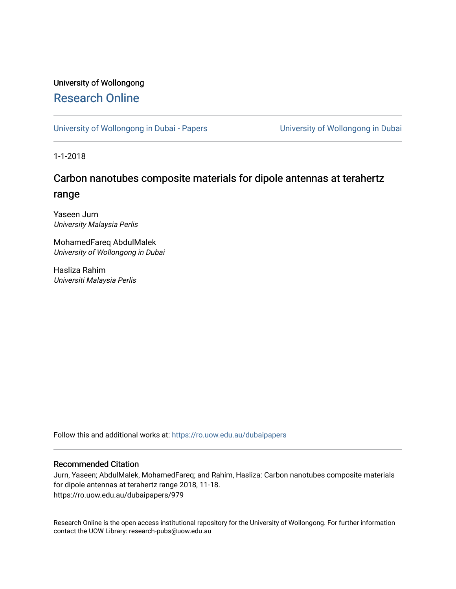## University of Wollongong [Research Online](https://ro.uow.edu.au/)

[University of Wollongong in Dubai - Papers](https://ro.uow.edu.au/dubaipapers) **University of Wollongong in Dubai** 

1-1-2018

# Carbon nanotubes composite materials for dipole antennas at terahertz range

Yaseen Jurn University Malaysia Perlis

MohamedFareq AbdulMalek University of Wollongong in Dubai

Hasliza Rahim Universiti Malaysia Perlis

Follow this and additional works at: [https://ro.uow.edu.au/dubaipapers](https://ro.uow.edu.au/dubaipapers?utm_source=ro.uow.edu.au%2Fdubaipapers%2F979&utm_medium=PDF&utm_campaign=PDFCoverPages) 

## Recommended Citation

Jurn, Yaseen; AbdulMalek, MohamedFareq; and Rahim, Hasliza: Carbon nanotubes composite materials for dipole antennas at terahertz range 2018, 11-18. https://ro.uow.edu.au/dubaipapers/979

Research Online is the open access institutional repository for the University of Wollongong. For further information contact the UOW Library: research-pubs@uow.edu.au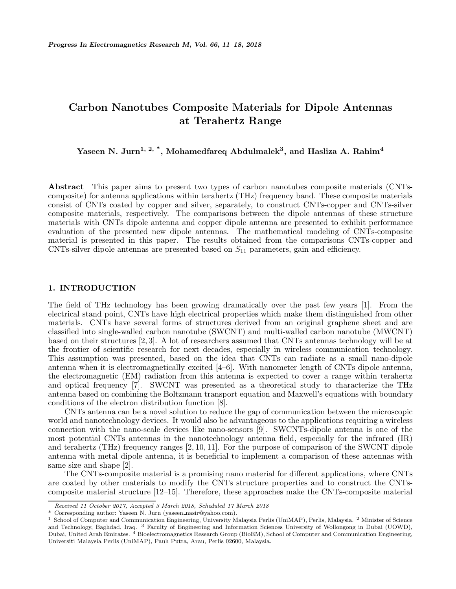# **Carbon Nanotubes Composite Materials for Dipole Antennas at Terahertz Range**

**Yaseen N. Jurn1, 2, \*, Mohamedfareq Abdulmalek3, and Hasliza A. Rahim<sup>4</sup>**

**Abstract**—This paper aims to present two types of carbon nanotubes composite materials (CNTscomposite) for antenna applications within terahertz (THz) frequency band. These composite materials consist of CNTs coated by copper and silver, separately, to construct CNTs-copper and CNTs-silver composite materials, respectively. The comparisons between the dipole antennas of these structure materials with CNTs dipole antenna and copper dipole antenna are presented to exhibit performance evaluation of the presented new dipole antennas. The mathematical modeling of CNTs-composite material is presented in this paper. The results obtained from the comparisons CNTs-copper and CNTs-silver dipole antennas are presented based on  $S_{11}$  parameters, gain and efficiency.

#### **1. INTRODUCTION**

The field of THz technology has been growing dramatically over the past few years [1]. From the electrical stand point, CNTs have high electrical properties which make them distinguished from other materials. CNTs have several forms of structures derived from an original graphene sheet and are classified into single-walled carbon nanotube (SWCNT) and multi-walled carbon nanotube (MWCNT) based on their structures [2, 3]. A lot of researchers assumed that CNTs antennas technology will be at the frontier of scientific research for next decades, especially in wireless communication technology. This assumption was presented, based on the idea that CNTs can radiate as a small nano-dipole antenna when it is electromagnetically excited [4–6]. With nanometer length of CNTs dipole antenna, the electromagnetic (EM) radiation from this antenna is expected to cover a range within terahertz and optical frequency [7]. SWCNT was presented as a theoretical study to characterize the THz antenna based on combining the Boltzmann transport equation and Maxwell's equations with boundary conditions of the electron distribution function [8].

CNTs antenna can be a novel solution to reduce the gap of communication between the microscopic world and nanotechnology devices. It would also be advantageous to the applications requiring a wireless connection with the nano-scale devices like nano-sensors [9]. SWCNTs-dipole antenna is one of the most potential CNTs antennas in the nanotechnology antenna field, especially for the infrared (IR) and terahertz (THz) frequency ranges [2, 10, 11]. For the purpose of comparison of the SWCNT dipole antenna with metal dipole antenna, it is beneficial to implement a comparison of these antennas with same size and shape [2].

The CNTs-composite material is a promising nano material for different applications, where CNTs are coated by other materials to modify the CNTs structure properties and to construct the CNTscomposite material structure [12–15]. Therefore, these approaches make the CNTs-composite material

*Received 11 October 2017, Accepted 3 March 2018, Scheduled 17 March 2018*

<sup>\*</sup> Corresponding author: Yaseen N. Jurn (yaseen nasir@yahoo.com).

<sup>1</sup> School of Computer and Communication Engineering, University Malaysia Perlis (UniMAP), Perlis, Malaysia. <sup>2</sup> Minister of Science and Technology, Baghdad, Iraq. <sup>3</sup> Faculty of Engineering and Information Sciences University of Wollongong in Dubai (UOWD), Dubai, United Arab Emirates. <sup>4</sup> Bioelectromagnetics Research Group (BioEM), School of Computer and Communication Engineering, Universiti Malaysia Perlis (UniMAP), Pauh Putra, Arau, Perlis 02600, Malaysia.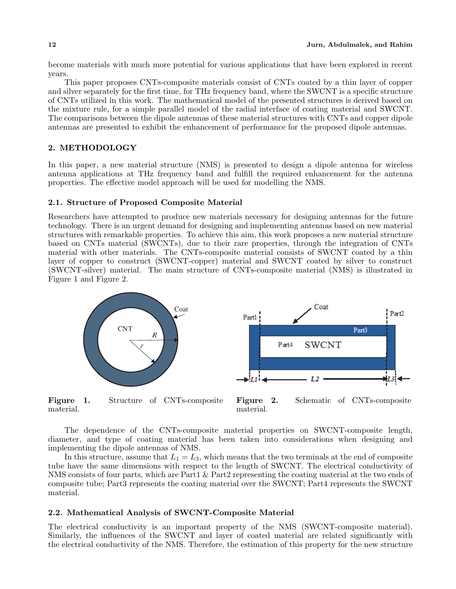become materials with much more potential for various applications that have been explored in recent years.

This paper proposes CNTs-composite materials consist of CNTs coated by a thin layer of copper and silver separately for the first time, for THz frequency band, where the SWCNT is a specific structure of CNTs utilized in this work. The mathematical model of the presented structures is derived based on the mixture rule, for a simple parallel model of the radial interface of coating material and SWCNT. The comparisons between the dipole antennas of these material structures with CNTs and copper dipole antennas are presented to exhibit the enhancement of performance for the proposed dipole antennas.

### **2. METHODOLOGY**

In this paper, a new material structure (NMS) is presented to design a dipole antenna for wireless antenna applications at THz frequency band and fulfill the required enhancement for the antenna properties. The effective model approach will be used for modelling the NMS.

#### **2.1. Structure of Proposed Composite Material**

Researchers have attempted to produce new materials necessary for designing antennas for the future technology. There is an urgent demand for designing and implementing antennas based on new material structures with remarkable properties. To achieve this aim, this work proposes a new material structure based on CNTs material (SWCNTs), due to their rare properties, through the integration of CNTs material with other materials. The CNTs-composite material consists of SWCNT coated by a thin layer of copper to construct (SWCNT-copper) material and SWCNT coated by silver to construct (SWCNT-silver) material. The main structure of CNTs-composite material (NMS) is illustrated in Figure 1 and Figure 2.



**Figure 1.** Structure of CNTs-composite material.

**Figure 2.** Schematic of CNTs-composite material.

The dependence of the CNTs-composite material properties on SWCNT-composite length, diameter, and type of coating material has been taken into considerations when designing and implementing the dipole antennas of NMS.

In this structure, assume that  $L_1 = L_3$ , which means that the two terminals at the end of composite tube have the same dimensions with respect to the length of SWCNT. The electrical conductivity of NMS consists of four parts, which are Part1 & Part2 representing the coating material at the two ends of composite tube; Part3 represents the coating material over the SWCNT; Part4 represents the SWCNT material.

#### **2.2. Mathematical Analysis of SWCNT-Composite Material**

The electrical conductivity is an important property of the NMS (SWCNT-composite material). Similarly, the influences of the SWCNT and layer of coated material are related significantly with the electrical conductivity of the NMS. Therefore, the estimation of this property for the new structure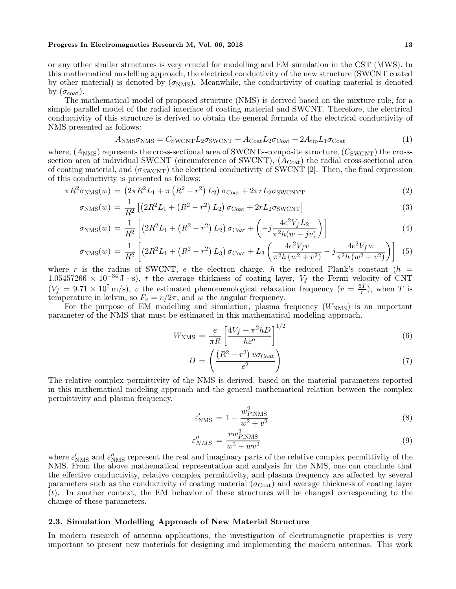#### **Progress In Electromagnetics Research M, Vol. 66, 2018** 13

or any other similar structures is very crucial for modelling and EM simulation in the CST (MWS). In this mathematical modelling approach, the electrical conductivity of the new structure (SWCNT coated by other material) is denoted by  $(\sigma_{\text{NMS}})$ . Meanwhile, the conductivity of coating material is denoted by  $(\sigma_{\text{coat}})$ .

The mathematical model of proposed structure (NMS) is derived based on the mixture rule, for a simple parallel model of the radial interface of coating material and SWCNT. Therefore, the electrical conductivity of this structure is derived to obtain the general formula of the electrical conductivity of NMS presented as follows:

$$
A_{\rm NMS}\sigma_{\rm NMS} = C_{\rm SWCNT}L_2\sigma_{\rm SWCNT} + A_{\rm Coat}L_2\sigma_{\rm Coat} + 2A_{\rm tip}L_1\sigma_{\rm Coat} \tag{1}
$$

where,  $(A<sub>NMS</sub>)$  represents the cross-sectional area of SWCNTs-composite structure,  $(C<sub>SWCNT</sub>)$  the crosssection area of individual SWCNT (circumference of SWCNT),  $(A_{\text{Coat}})$  the radial cross-sectional area of coating material, and  $(\sigma_{\text{SWCNT}})$  the electrical conductivity of SWCNT [2]. Then, the final expression of this conductivity is presented as follows:

$$
\pi R^2 \sigma_{\text{NMS}}(w) = \left(2\pi R^2 L_1 + \pi \left(R^2 - r^2\right) L_2\right) \sigma_{\text{Coat}} + 2\pi r L_2 \sigma_{\text{SWCNTT}} \tag{2}
$$

$$
\sigma_{\rm NMS}(w) = \frac{1}{R^2} \left[ \left( 2R^2 L_1 + \left( R^2 - r^2 \right) L_2 \right) \sigma_{\rm Coat} + 2r L_2 \sigma_{\rm SWCNT} \right] \tag{3}
$$

$$
\sigma_{\rm NMS}(w) = \frac{1}{R^2} \left[ \left( 2R^2 L_1 + \left( R^2 - r^2 \right) L_2 \right) \sigma_{\rm Coat} + \left( -j \frac{4e^2 V_f L_2}{\pi^2 h(w - jv)} \right) \right] \tag{4}
$$

$$
\sigma_{\rm NMS}(w) = \frac{1}{R^2} \left[ \left( 2R^2 L_1 + \left( R^2 - r^2 \right) L_3 \right) \sigma_{\rm Coat} + L_3 \left( \frac{4e^2 V_f v}{\pi^2 h \left( w^2 + v^2 \right)} - j \frac{4e^2 V_f w}{\pi^2 h \left( w^2 + v^2 \right)} \right) \right] \tag{5}
$$

where r is the radius of SWCNT, e the electron charge, h the reduced Plank's constant  $(h =$ 1.05457266 × 10<sup>-34</sup> J · s), t the average thickness of coating layer,  $V_f$  the Fermi velocity of CNT  $(V_f = 9.71 \times 10^5 \text{ m/s})$ , v the estimated phenomenological relaxation frequency  $(v = \frac{6T}{r})$ , when T is temperature in kelvin, so  $F_v = v/2\pi$ , and w the angular frequency.

For the purpose of EM modelling and simulation, plasma frequency  $(W<sub>NMS</sub>)$  is an important parameter of the NMS that must be estimated in this mathematical modeling approach.

$$
W_{\rm NMS} = \frac{e}{\pi R} \left[ \frac{4V_f + \pi^2 h D}{h \varepsilon^o} \right]^{1/2} \tag{6}
$$

$$
D = \left(\frac{\left(R^2 - r^2\right)v\sigma_{\text{Coat}}}{e^2}\right) \tag{7}
$$

The relative complex permittivity of the NMS is derived, based on the material parameters reported in this mathematical modeling approach and the general mathematical relation between the complex permittivity and plasma frequency.

$$
\varepsilon'_{\text{NMS}} = 1 - \frac{w_{P,\text{NMS}}^2}{w^2 + v^2} \tag{8}
$$

$$
\varepsilon_{NMS}^{\prime\prime} = \frac{v w_{P,\text{NMS}}^2}{w^3 + w v^2} \tag{9}
$$

where  $\varepsilon'_{\rm NMS}$  and  $\varepsilon''_{\rm NMS}$  represent the real and imaginary parts of the relative complex permittivity of the NMS. From the above mathematical representation and analysis for the NMS, one can conclude that the effective conductivity, relative complex permittivity, and plasma frequency are affected by several parameters such as the conductivity of coating material ( $\sigma_{\text{Coat}}$ ) and average thickness of coating layer  $(t)$ . In another context, the EM behavior of these structures will be changed corresponding to the change of these parameters.

#### **2.3. Simulation Modelling Approach of New Material Structure**

In modern research of antenna applications, the investigation of electromagnetic properties is very important to present new materials for designing and implementing the modern antennas. This work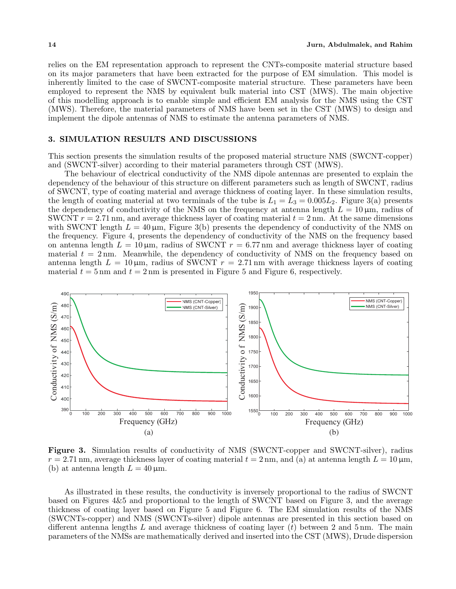relies on the EM representation approach to represent the CNTs-composite material structure based on its major parameters that have been extracted for the purpose of EM simulation. This model is inherently limited to the case of SWCNT-composite material structure. These parameters have been employed to represent the NMS by equivalent bulk material into CST (MWS). The main objective of this modelling approach is to enable simple and efficient EM analysis for the NMS using the CST (MWS). Therefore, the material parameters of NMS have been set in the CST (MWS) to design and implement the dipole antennas of NMS to estimate the antenna parameters of NMS.

#### **3. SIMULATION RESULTS AND DISCUSSIONS**

This section presents the simulation results of the proposed material structure NMS (SWCNT-copper) and (SWCNT-silver) according to their material parameters through CST (MWS).

The behaviour of electrical conductivity of the NMS dipole antennas are presented to explain the dependency of the behaviour of this structure on different parameters such as length of SWCNT, radius of SWCNT, type of coating material and average thickness of coating layer. In these simulation results, the length of coating material at two terminals of the tube is  $L_1 = L_3 = 0.005L_2$ . Figure 3(a) presents the dependency of conductivity of the NMS on the frequency at antenna length  $L = 10 \,\mu m$ , radius of SWCNT  $r = 2.71$  nm, and average thickness layer of coating material  $t = 2$  nm. At the same dimensions with SWCNT length  $L = 40 \,\mu m$ , Figure 3(b) presents the dependency of conductivity of the NMS on the frequency. Figure 4, presents the dependency of conductivity of the NMS on the frequency based on antenna length  $L = 10 \,\mu\text{m}$ , radius of SWCNT  $r = 6.77 \,\text{nm}$  and average thickness layer of coating material  $t = 2$  nm. Meanwhile, the dependency of conductivity of NMS on the frequency based on antenna length  $L = 10 \,\mu\text{m}$ , radius of SWCNT  $r = 2.71 \,\text{nm}$  with average thickness layers of coating material  $t = 5$  nm and  $t = 2$  nm is presented in Figure 5 and Figure 6, respectively.



**Figure 3.** Simulation results of conductivity of NMS (SWCNT-copper and SWCNT-silver), radius  $r = 2.71$  nm, average thickness layer of coating material  $t = 2$  nm, and (a) at antenna length  $L = 10 \,\mu\text{m}$ , (b) at antenna length  $L = 40 \,\mu \text{m}$ .

As illustrated in these results, the conductivity is inversely proportional to the radius of SWCNT based on Figures 4&5 and proportional to the length of SWCNT based on Figure 3, and the average thickness of coating layer based on Figure 5 and Figure 6. The EM simulation results of the NMS (SWCNTs-copper) and NMS (SWCNTs-silver) dipole antennas are presented in this section based on different antenna lengths  $L$  and average thickness of coating layer  $(t)$  between 2 and 5 nm. The main parameters of the NMSs are mathematically derived and inserted into the CST (MWS), Drude dispersion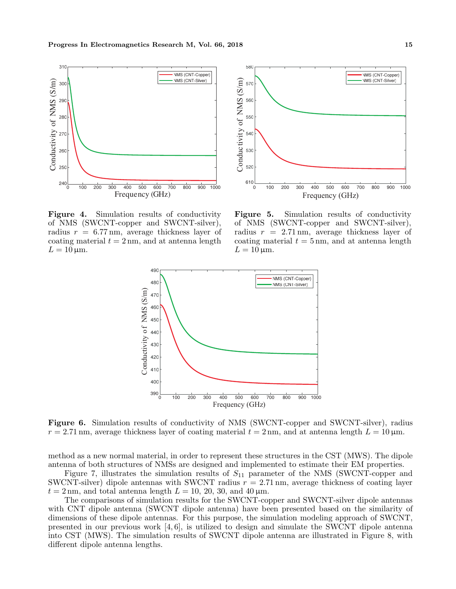

580 NMS (CNT-Copper) Conductivity of NMS (S/m) NMS (CNT-Silver) Conductivity of NMS (S/m) 57C 560 550 540 530 520  $610^{10}_{0}$ 0 100 200 300 400 500 600 700 800 900 1000 Frequency (GHz)

**Figure 4.** Simulation results of conductivity of NMS (SWCNT-copper and SWCNT-silver), radius  $r = 6.77$  nm, average thickness layer of coating material  $t = 2$  nm, and at antenna length  $L = 10 \,\mu\text{m}$ .

**Figure 5.** Simulation results of conductivity of NMS (SWCNT-copper and SWCNT-silver), radius  $r = 2.71$  nm, average thickness layer of coating material  $t = 5$  nm, and at antenna length  $L = 10 \,\mathrm{\mu m}$ .



**Figure 6.** Simulation results of conductivity of NMS (SWCNT-copper and SWCNT-silver), radius  $r = 2.71$  nm, average thickness layer of coating material  $t = 2$  nm, and at antenna length  $L = 10 \,\mu\text{m}$ .

method as a new normal material, in order to represent these structures in the CST (MWS). The dipole antenna of both structures of NMSs are designed and implemented to estimate their EM properties.

Figure 7, illustrates the simulation results of  $S_{11}$  parameter of the NMS (SWCNT-copper and SWCNT-silver) dipole antennas with SWCNT radius  $r = 2.71$  nm, average thickness of coating layer  $t = 2$  nm, and total antenna length  $L = 10, 20, 30,$  and  $40 \,\mu$ m.

The comparisons of simulation results for the SWCNT-copper and SWCNT-silver dipole antennas with CNT dipole antenna (SWCNT dipole antenna) have been presented based on the similarity of dimensions of these dipole antennas. For this purpose, the simulation modeling approach of SWCNT, presented in our previous work [4, 6], is utilized to design and simulate the SWCNT dipole antenna into CST (MWS). The simulation results of SWCNT dipole antenna are illustrated in Figure 8, with different dipole antenna lengths.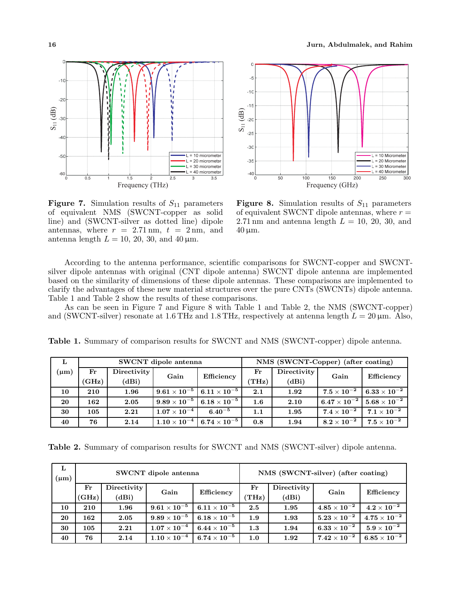

**Figure 7.** Simulation results of  $S_{11}$  parameters of equivalent NMS (SWCNT-copper as solid line) and (SWCNT-silver as dotted line) dipole antennas, where  $r = 2.71$  nm,  $t = 2$  nm, and antenna length  $L = 10, 20, 30, \text{ and } 40 \,\mu\text{m}$ .



**Figure 8.** Simulation results of  $S_{11}$  parameters of equivalent SWCNT dipole antennas, where  $r =$ 2.71 nm and antenna length  $L = 10, 20, 30,$  and  $40 \,\mathrm{\upmu m}$ .

According to the antenna performance, scientific comparisons for SWCNT-copper and SWCNTsilver dipole antennas with original (CNT dipole antenna) SWCNT dipole antenna are implemented based on the similarity of dimensions of these dipole antennas. These comparisons are implemented to clarify the advantages of these new material structures over the pure CNTs (SWCNTs) dipole antenna. Table 1 and Table 2 show the results of these comparisons.

As can be seen in Figure 7 and Figure 8 with Table 1 and Table 2, the NMS (SWCNT-copper) and (SWCNT-silver) resonate at 1.6 THz and 1.8 THz, respectively at antenna length  $L = 20 \,\mu m$ . Also,

| L         |               |             | SWCNT dipole antenna |                                                      | NMS (SWCNT-Copper) (after coating) |             |                      |                                                    |
|-----------|---------------|-------------|----------------------|------------------------------------------------------|------------------------------------|-------------|----------------------|----------------------------------------------------|
| $(\mu m)$ | $\mathbf{Fr}$ | Directivity | Gain                 | Efficiency                                           | $\mathbf{Fr}$                      | Directivity | Gain                 | Efficiency                                         |
|           | (GHz)         | (dBi)       |                      |                                                      | (THz)                              | (dBi)       |                      |                                                    |
| 10        | 210           | 1.96        |                      | $9.61 \times 10^{-5}$ 6.11 $\times$ 10 <sup>-5</sup> | 2.1                                | 1.92        | $7.5\times10^{-2}$   | $6.33\times10^{-2}$                                |
| 20        | 162           | 2.05        |                      | $9.89\times 10^{-5}$ $6.18\times 10^{-5}$            | $1.6\,$                            | 2.10        |                      | $6.47\times 10^{-2}$ $\enspace 5.68\times 10^{-2}$ |
| 30        | 105           | 2.21        | $1.07\times10^{-4}$  | 6.40 <sup>-5</sup>                                   | 1.1                                | 1.95        | $7.4 \times 10^{-2}$ | $7.1 \times 10^{-2}$                               |
| 40        | 76            | 2.14        | $1.10\times10^{-4}$  | $6.74\times10^{-5}$                                  | 0.8                                | 1.94        | $8.2\times10^{-2}$   | $7.5 \times 10^{-2}$                               |

**Table 1.** Summary of comparison results for SWCNT and NMS (SWCNT-copper) dipole antenna.

**Table 2.** Summary of comparison results for SWCNT and NMS (SWCNT-silver) dipole antenna.

| L<br>$(\mu m)$ |                      |                      | SWCNT dipole antenna           |                     | NMS (SWCNT-silver) (after coating) |                      |                       |                                |
|----------------|----------------------|----------------------|--------------------------------|---------------------|------------------------------------|----------------------|-----------------------|--------------------------------|
|                | $_{\rm Fr}$<br>(GHz) | Directivity<br>(dBi) | Gain                           | Efficiency          | $_{\rm Fr}$<br>(THz)               | Directivity<br>(dBi) | Gain                  | <b>Efficiency</b>              |
| 10             | 210                  | 1.96                 | $9.61\times10^{-5}$            | $6.11\times10^{-5}$ | 2.5                                | 1.95                 | $4.85\times10^{-2}$ l | $4.2\times10^{-2}$             |
| 20             | 162                  | 2.05                 | $9.89\times10^{-5}$            | $6.18\times10^{-5}$ | 1.9                                | 1.93                 | $5.23\times10^{-2}$ . | $4.75\times\overline{10^{-2}}$ |
| 30             | 105                  | 2.21                 | $1.07\times10^{-\overline{4}}$ | $6.44\times10^{-5}$ | 1.3                                | 1.94                 | $6.33\times10^{-2}$   | $5.9\times10^{-2}$             |
| 40             | 76                   | 2.14                 | $1.10\times10^{-4}$            | $6.74\times10^{-5}$ | 1.0                                | 1.92                 | $7.42\times10^{-2}$   | $6.85\times10^{-2}$            |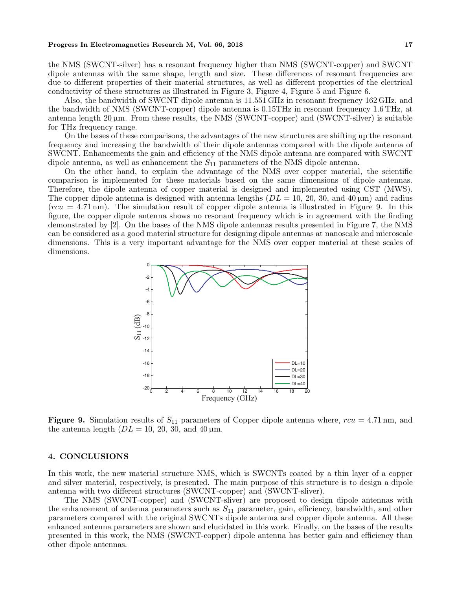#### **Progress In Electromagnetics Research M, Vol. 66, 2018** 17

the NMS (SWCNT-silver) has a resonant frequency higher than NMS (SWCNT-copper) and SWCNT dipole antennas with the same shape, length and size. These differences of resonant frequencies are due to different properties of their material structures, as well as different properties of the electrical conductivity of these structures as illustrated in Figure 3, Figure 4, Figure 5 and Figure 6.

Also, the bandwidth of SWCNT dipole antenna is 11.551 GHz in resonant frequency 162 GHz, and the bandwidth of NMS (SWCNT-copper) dipole antenna is 0.15THz in resonant frequency 1.6 THz, at antenna length 20  $\mu$ m. From these results, the NMS (SWCNT-copper) and (SWCNT-silver) is suitable for THz frequency range.

On the bases of these comparisons, the advantages of the new structures are shifting up the resonant frequency and increasing the bandwidth of their dipole antennas compared with the dipole antenna of SWCNT. Enhancements the gain and efficiency of the NMS dipole antenna are compared with SWCNT dipole antenna, as well as enhancement the  $S_{11}$  parameters of the NMS dipole antenna.

On the other hand, to explain the advantage of the NMS over copper material, the scientific comparison is implemented for these materials based on the same dimensions of dipole antennas. Therefore, the dipole antenna of copper material is designed and implemented using CST (MWS). The copper dipole antenna is designed with antenna lengths  $(DL = 10, 20, 30, \text{ and } 40 \,\mu\text{m})$  and radius  $(rcu = 4.71 \text{ nm})$ . The simulation result of copper dipole antenna is illustrated in Figure 9. In this figure, the copper dipole antenna shows no resonant frequency which is in agreement with the finding demonstrated by [2]. On the bases of the NMS dipole antennas results presented in Figure 7, the NMS can be considered as a good material structure for designing dipole antennas at nanoscale and microscale dimensions. This is a very important advantage for the NMS over copper material at these scales of dimensions.



**Figure 9.** Simulation results of  $S_{11}$  parameters of Copper dipole antenna where,  $rcu = 4.71$  nm, and the antenna length  $(DL = 10, 20, 30, \text{ and } 40 \,\mu\text{m}$ .

#### **4. CONCLUSIONS**

In this work, the new material structure NMS, which is SWCNTs coated by a thin layer of a copper and silver material, respectively, is presented. The main purpose of this structure is to design a dipole antenna with two different structures (SWCNT-copper) and (SWCNT-sliver).

The NMS (SWCNT-copper) and (SWCNT-sliver) are proposed to design dipole antennas with the enhancement of antenna parameters such as  $S_{11}$  parameter, gain, efficiency, bandwidth, and other parameters compared with the original SWCNTs dipole antenna and copper dipole antenna. All these enhanced antenna parameters are shown and elucidated in this work. Finally, on the bases of the results presented in this work, the NMS (SWCNT-copper) dipole antenna has better gain and efficiency than other dipole antennas.